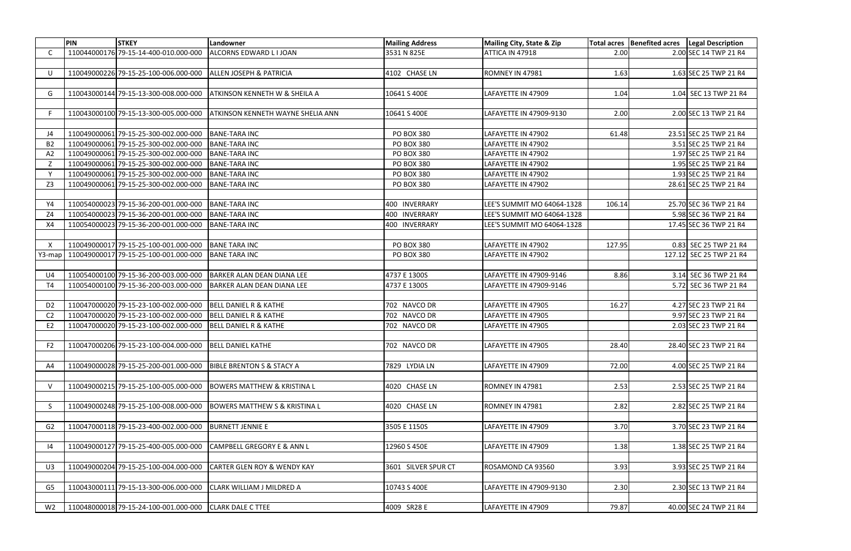|                           | PIN | <b>STKEY</b>                                            | Landowner                                | <b>Mailing Address</b> | Mailing City, State & Zip  |        | Total acres   Benefited acres   Legal Description |                         |
|---------------------------|-----|---------------------------------------------------------|------------------------------------------|------------------------|----------------------------|--------|---------------------------------------------------|-------------------------|
| C.                        |     | 110044000176 79-15-14-400-010.000-000                   | ALCORNS EDWARD LIJOAN                    | 3531 N 825E            | ATTICA IN 47918            | 2.00   |                                                   | 2.00 SEC 14 TWP 21 R4   |
|                           |     |                                                         |                                          |                        |                            |        |                                                   |                         |
| U                         |     | 110049000226 79-15-25-100-006.000-000                   | <b>ALLEN JOSEPH &amp; PATRICIA</b>       | 4102 CHASE LN          | ROMNEY IN 47981            | 1.63   |                                                   | 1.63 SEC 25 TWP 21 R4   |
|                           |     |                                                         |                                          |                        |                            |        |                                                   |                         |
| G                         |     | 110043000144 79-15-13-300-008.000-000                   | <b>ATKINSON KENNETH W &amp; SHEILA A</b> | 10641 S 400E           | LAFAYETTE IN 47909         | 1.04   |                                                   | 1.04 SEC 13 TWP 21 R4   |
|                           |     |                                                         |                                          |                        |                            |        |                                                   |                         |
|                           |     | 110043000100 79-15-13-300-005.000-000                   | <b>ATKINSON KENNETH WAYNE SHELIA ANN</b> | 10641 S 400E           | LAFAYETTE IN 47909-9130    | 2.00   |                                                   | 2.00 SEC 13 TWP 21 R4   |
|                           |     |                                                         |                                          |                        |                            |        |                                                   |                         |
| J4                        |     | 110049000061 79-15-25-300-002.000-000                   | BANE-TARA INC                            | <b>PO BOX 380</b>      | LAFAYETTE IN 47902         | 61.48  |                                                   | 23.51 SEC 25 TWP 21 R4  |
| B <sub>2</sub>            |     | 110049000061 79-15-25-300-002.000-000                   | <b>BANE-TARA INC</b>                     | <b>PO BOX 380</b>      | LAFAYETTE IN 47902         |        |                                                   | 3.51 SEC 25 TWP 21 R4   |
| A <sub>2</sub>            |     | 110049000061 79-15-25-300-002.000-000                   | <b>BANE-TARA INC</b>                     | <b>PO BOX 380</b>      | LAFAYETTE IN 47902         |        |                                                   | 1.97 SEC 25 TWP 21 R4   |
| Z                         |     | 110049000061 79-15-25-300-002.000-000                   | <b>BANE-TARA INC</b>                     | <b>PO BOX 380</b>      | LAFAYETTE IN 47902         |        |                                                   | 1.95 SEC 25 TWP 21 R4   |
| Y                         |     | 110049000061 79-15-25-300-002.000-000                   | <b>BANE-TARA INC</b>                     | <b>PO BOX 380</b>      | LAFAYETTE IN 47902         |        |                                                   | 1.93 SEC 25 TWP 21 R4   |
| Z3                        |     | 110049000061 79-15-25-300-002.000-000                   | <b>BANE-TARA INC</b>                     | <b>PO BOX 380</b>      | LAFAYETTE IN 47902         |        |                                                   | 28.61 SEC 25 TWP 21 R4  |
|                           |     |                                                         |                                          |                        |                            |        |                                                   |                         |
| Y4                        |     | 110054000023 79-15-36-200-001.000-000                   | <b>BANE-TARA INC</b>                     | 400 INVERRARY          | LEE'S SUMMIT MO 64064-1328 | 106.14 |                                                   | 25.70 SEC 36 TWP 21 R4  |
| Z4                        |     | 110054000023 79-15-36-200-001.000-000                   | <b>BANE-TARA INC</b>                     | 400 INVERRARY          | LEE'S SUMMIT MO 64064-1328 |        |                                                   | 5.98 SEC 36 TWP 21 R4   |
| X4                        |     | 110054000023 79-15-36-200-001.000-000                   | <b>BANE-TARA INC</b>                     | 400 INVERRARY          | LEE'S SUMMIT MO 64064-1328 |        |                                                   | 17.45 SEC 36 TWP 21 R4  |
|                           |     |                                                         |                                          |                        |                            |        |                                                   |                         |
| $\boldsymbol{\mathsf{X}}$ |     | 110049000017 79-15-25-100-001.000-000                   | <b>BANE TARA INC</b>                     | <b>PO BOX 380</b>      | LAFAYETTE IN 47902         | 127.95 |                                                   | 0.83 SEC 25 TWP 21 R4   |
| Y3-map                    |     | 110049000017 79-15-25-100-001.000-000                   | <b>BANE TARA INC</b>                     | <b>PO BOX 380</b>      | LAFAYETTE IN 47902         |        |                                                   | 127.12 SEC 25 TWP 21 R4 |
|                           |     |                                                         |                                          |                        |                            |        |                                                   |                         |
| U4                        |     | 110054000100 79-15-36-200-003.000-000                   | BARKER ALAN DEAN DIANA LEE               | 4737 E 1300S           | LAFAYETTE IN 47909-9146    | 8.86   |                                                   | 3.14 SEC 36 TWP 21 R4   |
| T4                        |     | 110054000100 79-15-36-200-003.000-000                   | BARKER ALAN DEAN DIANA LEE               | 4737 E 1300S           | LAFAYETTE IN 47909-9146    |        |                                                   | 5.72 SEC 36 TWP 21 R4   |
|                           |     |                                                         |                                          |                        |                            |        |                                                   |                         |
| D <sub>2</sub>            |     | 110047000020 79-15-23-100-002.000-000                   | <b>BELL DANIEL R &amp; KATHE</b>         | 702 NAVCO DR           | LAFAYETTE IN 47905         | 16.27  |                                                   | 4.27 SEC 23 TWP 21 R4   |
| C <sub>2</sub>            |     | 110047000020 79-15-23-100-002.000-000                   | <b>BELL DANIEL R &amp; KATHE</b>         | 702 NAVCO DR           | LAFAYETTE IN 47905         |        |                                                   | 9.97 SEC 23 TWP 21 R4   |
| E <sub>2</sub>            |     | 110047000020 79-15-23-100-002.000-000                   | <b>BELL DANIEL R &amp; KATHE</b>         | 702 NAVCO DR           | LAFAYETTE IN 47905         |        |                                                   | 2.03 SEC 23 TWP 21 R4   |
|                           |     |                                                         |                                          |                        |                            |        |                                                   |                         |
| F <sub>2</sub>            |     | 110047000206 79-15-23-100-004.000-000 BELL DANIEL KATHE |                                          | 702 NAVCO DR           | LAFAYETTE IN 47905         | 28.40  |                                                   | 28.40 SEC 23 TWP 21 R4  |
|                           |     |                                                         |                                          |                        |                            |        |                                                   |                         |
| A4                        |     | 110049000028 79-15-25-200-001.000-000                   | <b>BIBLE BRENTON S &amp; STACY A</b>     | 7829 LYDIA LN          | LAFAYETTE IN 47909         | 72.00  |                                                   | 4.00 SEC 25 TWP 21 R4   |
|                           |     |                                                         |                                          |                        |                            |        |                                                   |                         |
| $\mathsf{V}$              |     | 110049000215 79-15-25-100-005.000-000                   | <b>BOWERS MATTHEW &amp; KRISTINA L</b>   | 4020 CHASE LN          | ROMNEY IN 47981            | 2.53   |                                                   | 2.53 SEC 25 TWP 21 R4   |
|                           |     |                                                         |                                          |                        |                            |        |                                                   |                         |
| -S                        |     | 110049000248 79-15-25-100-008.000-000                   | <b>BOWERS MATTHEW S &amp; KRISTINA L</b> | 4020 CHASE LN          | ROMNEY IN 47981            | 2.82   |                                                   | 2.82 SEC 25 TWP 21 R4   |
|                           |     |                                                         |                                          |                        |                            |        |                                                   |                         |
| G <sub>2</sub>            |     | 110047000118 79-15-23-400-002.000-000                   | <b>BURNETT JENNIE E</b>                  | 3505 E 1150S           | LAFAYETTE IN 47909         | 3.70   |                                                   | 3.70 SEC 23 TWP 21 R4   |
|                           |     |                                                         |                                          |                        |                            |        |                                                   |                         |
| 4                         |     | 110049000127 79-15-25-400-005.000-000                   | <b>CAMPBELL GREGORY E &amp; ANN L</b>    | 12960 S 450E           | LAFAYETTE IN 47909         | 1.38   |                                                   | 1.38 SEC 25 TWP 21 R4   |
|                           |     |                                                         |                                          |                        |                            |        |                                                   |                         |
| U3                        |     | 110049000204 79-15-25-100-004.000-000                   | <b>CARTER GLEN ROY &amp; WENDY KAY</b>   | 3601 SILVER SPUR CT    | ROSAMOND CA 93560          | 3.93   |                                                   | 3.93 SEC 25 TWP 21 R4   |
|                           |     |                                                         |                                          |                        |                            |        |                                                   |                         |
|                           |     | 110043000111 79-15-13-300-006.000-000                   | <b>CLARK WILLIAM J MILDRED A</b>         | 10743 S 400E           | LAFAYETTE IN 47909-9130    | 2.30   |                                                   | 2.30 SEC 13 TWP 21 R4   |
| G <sub>5</sub>            |     |                                                         |                                          |                        |                            |        |                                                   |                         |
|                           |     |                                                         |                                          |                        |                            |        |                                                   |                         |
| W <sub>2</sub>            |     | 110048000018 79-15-24-100-001.000-000 CLARK DALE C TTEE |                                          | 4009 SR28 E            | LAFAYETTE IN 47909         | 79.87  |                                                   | 40.00 SEC 24 TWP 21 R4  |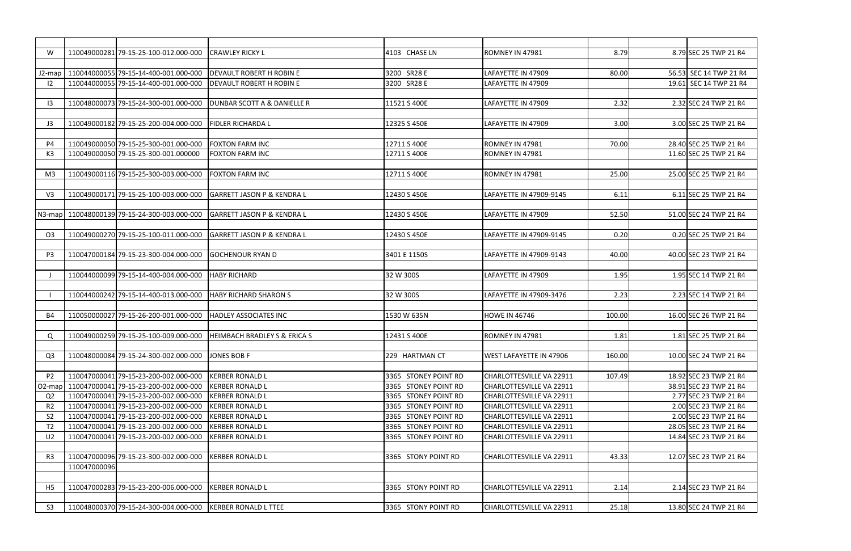| W                   |              | 110049000281 79-15-25-100-012.000-000        | <b>CRAWLEY RICKY L</b>                  | 4103 CHASE LN        | ROMNEY IN 47981          | 8.79   | 8.79 SEC 25 TWP 21 R4  |
|---------------------|--------------|----------------------------------------------|-----------------------------------------|----------------------|--------------------------|--------|------------------------|
|                     |              |                                              |                                         |                      |                          |        |                        |
| J2-map              |              | 110044000055 79-15-14-400-001.000-000        | <b>IDEVAULT ROBERT H ROBIN E</b>        | 3200 SR28 E          | LAFAYETTE IN 47909       | 80.00  | 56.53 SEC 14 TWP 21 R4 |
| 12                  |              | 110044000055 79-15-14-400-001.000-000        | <b>DEVAULT ROBERT H ROBIN E</b>         | 3200 SR28 E          | LAFAYETTE IN 47909       |        | 19.61 SEC 14 TWP 21 R4 |
|                     |              |                                              |                                         |                      |                          |        |                        |
| 13                  |              | 110048000073 79-15-24-300-001.000-000        | <b>DUNBAR SCOTT A &amp; DANIELLE R</b>  | 11521 S 400E         | LAFAYETTE IN 47909       | 2.32   | 2.32 SEC 24 TWP 21 R4  |
|                     |              |                                              |                                         |                      |                          |        |                        |
| J3                  |              | 110049000182 79-15-25-200-004.000-000        | <b>FIDLER RICHARDA L</b>                | 12325 S 450E         | LAFAYETTE IN 47909       | 3.00   | 3.00 SEC 25 TWP 21 R4  |
|                     |              |                                              |                                         |                      |                          |        |                        |
|                     |              |                                              |                                         |                      |                          |        |                        |
| P4                  |              | 110049000050 79-15-25-300-001.000-000        | <b>FOXTON FARM INC</b>                  | 12711 S 400E         | ROMNEY IN 47981          | 70.00  | 28.40 SEC 25 TWP 21 R4 |
| K3                  |              | 110049000050 79-15-25-300-001.000000         | <b>FOXTON FARM INC</b>                  | 12711 S 400E         | ROMNEY IN 47981          |        | 11.60 SEC 25 TWP 21 R4 |
|                     |              |                                              |                                         |                      |                          |        |                        |
| M <sub>3</sub>      |              | 110049000116 79-15-25-300-003.000-000        | <b>FOXTON FARM INC</b>                  | 12711 S 400E         | ROMNEY IN 47981          | 25.00  | 25.00 SEC 25 TWP 21 R4 |
|                     |              |                                              |                                         |                      |                          |        |                        |
| V <sub>3</sub>      |              | 110049000171 79-15-25-100-003.000-000        | <b>GARRETT JASON P &amp; KENDRA L</b>   | 12430 S 450E         | LAFAYETTE IN 47909-9145  | 6.11   | 6.11 SEC 25 TWP 21 R4  |
|                     |              |                                              |                                         |                      |                          |        |                        |
|                     |              | N3-map 110048000139 79-15-24-300-003.000-000 | <b>GARRETT JASON P &amp; KENDRA L</b>   | 12430 S 450E         | LAFAYETTE IN 47909       | 52.50  | 51.00 SEC 24 TWP 21 R4 |
|                     |              |                                              |                                         |                      |                          |        |                        |
| O <sub>3</sub>      |              | 110049000270 79-15-25-100-011.000-000        | <b>GARRETT JASON P &amp; KENDRA L</b>   | 12430 S 450E         | LAFAYETTE IN 47909-9145  | 0.20   | 0.20 SEC 25 TWP 21 R4  |
|                     |              |                                              |                                         |                      |                          |        |                        |
|                     |              |                                              |                                         |                      |                          |        |                        |
| P <sub>3</sub>      |              | 110047000184 79-15-23-300-004.000-000        | <b>GOCHENOUR RYAN D</b>                 | 3401 E 1150S         | LAFAYETTE IN 47909-9143  | 40.00  | 40.00 SEC 23 TWP 21 R4 |
|                     |              |                                              |                                         |                      |                          |        |                        |
|                     |              | 110044000099 79-15-14-400-004.000-000        | <b>HABY RICHARD</b>                     | 32 W 300S            | LAFAYETTE IN 47909       | 1.95   | 1.95 SEC 14 TWP 21 R4  |
|                     |              |                                              |                                         |                      |                          |        |                        |
|                     |              | 110044000242 79-15-14-400-013.000-000        | <b>HABY RICHARD SHARON S</b>            | 32 W 300S            | LAFAYETTE IN 47909-3476  | 2.23   | 2.23 SEC 14 TWP 21 R4  |
|                     |              |                                              |                                         |                      |                          |        |                        |
| <b>B4</b>           |              | 110050000027 79-15-26-200-001.000-000        | <b>HADLEY ASSOCIATES INC</b>            | 1530 W 635N          | <b>HOWE IN 46746</b>     | 100.00 | 16.00 SEC 26 TWP 21 R4 |
|                     |              |                                              |                                         |                      |                          |        |                        |
|                     |              |                                              |                                         |                      |                          |        |                        |
| Q                   |              | 110049000259 79-15-25-100-009.000-000        | <b>HEIMBACH BRADLEY S &amp; ERICA S</b> | 12431 S 400E         | ROMNEY IN 47981          | 1.81   | 1.81 SEC 25 TWP 21 R4  |
|                     |              |                                              |                                         |                      |                          |        |                        |
| Q <sub>3</sub>      |              | 110048000084 79-15-24-300-002.000-000        | JONES BOB F                             | 229 HARTMAN CT       | WEST LAFAYETTE IN 47906  | 160.00 | 10.00 SEC 24 TWP 21 R4 |
|                     |              |                                              |                                         |                      |                          |        |                        |
| P <sub>2</sub>      |              | 110047000041 79-15-23-200-002.000-000        | <b>KERBER RONALD L</b>                  | 3365 STONEY POINT RD | CHARLOTTESVILLE VA 22911 | 107.49 | 18.92 SEC 23 TWP 21 R4 |
| O <sub>2</sub> -map |              | 110047000041 79-15-23-200-002.000-000        | <b>KERBER RONALD L</b>                  | 3365 STONEY POINT RD | CHARLOTTESVILLE VA 22911 |        | 38.91 SEC 23 TWP 21 R4 |
| Q <sub>2</sub>      |              | 110047000041 79-15-23-200-002.000-000        | <b>KERBER RONALD L</b>                  | 3365 STONEY POINT RD | CHARLOTTESVILLE VA 22911 |        | 2.77 SEC 23 TWP 21 R4  |
| R <sub>2</sub>      |              | 110047000041 79-15-23-200-002.000-000        | <b>KERBER RONALD L</b>                  | 3365 STONEY POINT RD | CHARLOTTESVILLE VA 22911 |        | 2.00 SEC 23 TWP 21 R4  |
| S <sub>2</sub>      |              | 110047000041 79-15-23-200-002.000-000        | <b>KERBER RONALD L</b>                  | 3365 STONEY POINT RD | CHARLOTTESVILLE VA 22911 |        | 2.00 SEC 23 TWP 21 R4  |
| T <sub>2</sub>      |              | 110047000041 79-15-23-200-002.000-000        | <b>KERBER RONALD L</b>                  | 3365 STONEY POINT RD | CHARLOTTESVILLE VA 22911 |        | 28.05 SEC 23 TWP 21 R4 |
|                     |              |                                              |                                         |                      |                          |        |                        |
| U <sub>2</sub>      |              | 110047000041 79-15-23-200-002.000-000        | <b>KERBER RONALD L</b>                  | 3365 STONEY POINT RD | CHARLOTTESVILLE VA 22911 |        | 14.84 SEC 23 TWP 21 R4 |
|                     |              |                                              |                                         |                      |                          |        |                        |
| R <sub>3</sub>      |              | 110047000096 79-15-23-300-002.000-000        | <b>KERBER RONALD L</b>                  | 3365 STONY POINT RD  | CHARLOTTESVILLE VA 22911 | 43.33  | 12.07 SEC 23 TWP 21 R4 |
|                     | 110047000096 |                                              |                                         |                      |                          |        |                        |
|                     |              |                                              |                                         |                      |                          |        |                        |
| H5                  |              | 110047000283 79-15-23-200-006.000-000        | <b>KERBER RONALD L</b>                  | 3365 STONY POINT RD  | CHARLOTTESVILLE VA 22911 | 2.14   | 2.14 SEC 23 TWP 21 R4  |
|                     |              |                                              |                                         |                      |                          |        |                        |
| S <sub>3</sub>      |              | 110048000370 79-15-24-300-004.000-000        | KERBER RONALD L TTEE                    | 3365 STONY POINT RD  | CHARLOTTESVILLE VA 22911 | 25.18  | 13.80 SEC 24 TWP 21 R4 |
|                     |              |                                              |                                         |                      |                          |        |                        |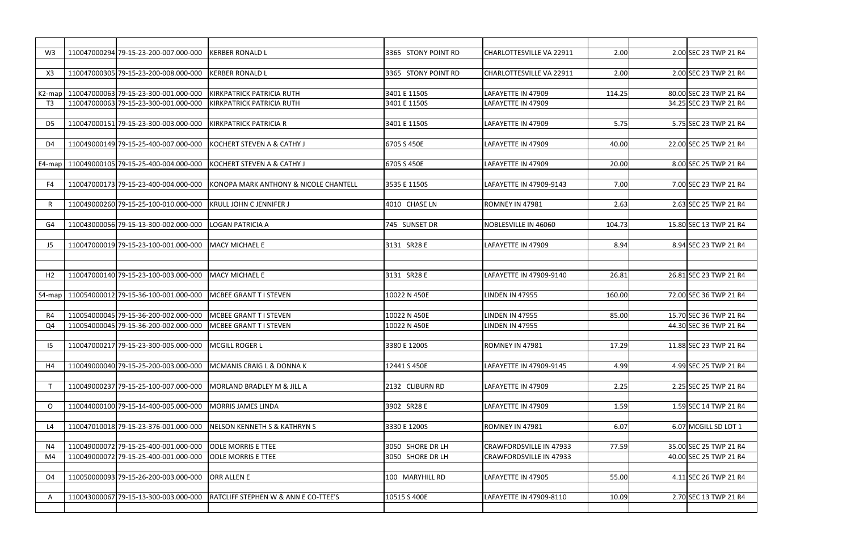| W <sub>3</sub> | 110047000294 79-15-23-200-007.000-000                | <b>KERBER RONALD L</b>                          | 3365 STONY POINT RD | CHARLOTTESVILLE VA 22911       | 2.00   | 2.00 SEC 23 TWP 21 R4  |
|----------------|------------------------------------------------------|-------------------------------------------------|---------------------|--------------------------------|--------|------------------------|
| X3             | 110047000305 79-15-23-200-008.000-000                | <b>KERBER RONALD L</b>                          | 3365 STONY POINT RD | CHARLOTTESVILLE VA 22911       | 2.00   | 2.00 SEC 23 TWP 21 R4  |
|                |                                                      |                                                 |                     |                                |        |                        |
|                | K2-map   110047000063 79-15-23-300-001.000-000       | KIRKPATRICK PATRICIA RUTH                       | 3401 E 1150S        | LAFAYETTE IN 47909             | 114.25 | 80.00 SEC 23 TWP 21 R4 |
| T3             | 110047000063 79-15-23-300-001.000-000                | KIRKPATRICK PATRICIA RUTH                       | 3401 E 1150S        | LAFAYETTE IN 47909             |        | 34.25 SEC 23 TWP 21 R4 |
| D5             | 110047000151 79-15-23-300-003.000-000                | <b>KIRKPATRICK PATRICIA R</b>                   | 3401 E 1150S        | LAFAYETTE IN 47909             | 5.75   | 5.75 SEC 23 TWP 21 R4  |
| D4             | 110049000149 79-15-25-400-007.000-000                | KOCHERT STEVEN A & CATHY J                      | 6705 S 450E         | LAFAYETTE IN 47909             | 40.00  | 22.00 SEC 25 TWP 21 R4 |
| $E4$ -map      | 110049000105 79-15-25-400-004.000-000                | KOCHERT STEVEN A & CATHY J                      | 6705 S 450E         | LAFAYETTE IN 47909             | 20.00  | 8.00 SEC 25 TWP 21 R4  |
| F4             | 110047000173 79-15-23-400-004.000-000                | KONOPA MARK ANTHONY & NICOLE CHANTELL           | 3535 E 1150S        | LAFAYETTE IN 47909-9143        | 7.00   | 7.00 SEC 23 TWP 21 R4  |
| R              | 110049000260 79-15-25-100-010.000-000                | <b>IKRULL JOHN C JENNIFER J</b>                 | 4010 CHASE LN       | ROMNEY IN 47981                | 2.63   | 2.63 SEC 25 TWP 21 R4  |
| G4             | 110043000056 79-15-13-300-002.000-000                | LOGAN PATRICIA A                                | 745 SUNSET DR       | NOBLESVILLE IN 46060           | 104.73 | 15.80 SEC 13 TWP 21 R4 |
| J5             | 110047000019 79-15-23-100-001.000-000                | MACY MICHAEL E                                  | 3131 SR28 E         | LAFAYETTE IN 47909             | 8.94   | 8.94 SEC 23 TWP 21 R4  |
|                |                                                      |                                                 |                     |                                |        |                        |
| H <sub>2</sub> | 110047000140 79-15-23-100-003.000-000                | MACY MICHAEL E                                  | 3131 SR28 E         | LAFAYETTE IN 47909-9140        | 26.81  | 26.81 SEC 23 TWP 21 R4 |
| S4-map         | 110054000012 79-15-36-100-001.000-000                | MCBEE GRANT T I STEVEN                          | 10022 N 450E        | LINDEN IN 47955                | 160.00 | 72.00 SEC 36 TWP 21 R4 |
| R4             | 110054000045 79-15-36-200-002.000-000                | <b>MCBEE GRANT TI STEVEN</b>                    | 10022 N 450E        | LINDEN IN 47955                | 85.00  | 15.70 SEC 36 TWP 21 R4 |
| Q4             | 110054000045 79-15-36-200-002.000-000                | <b>IMCBEE GRANT TI STEVEN</b>                   | 10022 N 450E        | <b>LINDEN IN 47955</b>         |        | 44.30 SEC 36 TWP 21 R4 |
| $15 -$         | 110047000217 79-15-23-300-005.000-000 MCGILL ROGER L |                                                 | 3380 E 1200S        | ROMNEY IN 47981                | 17.29  | 11.88 SEC 23 TWP 21 R4 |
| H4             | 110049000040 79-15-25-200-003.000-000                | <b>MCMANIS CRAIG L &amp; DONNA K</b>            | 12441 S 450E        | LAFAYETTE IN 47909-9145        | 4.99   | 4.99 SEC 25 TWP 21 R4  |
|                | 110049000237 79-15-25-100-007.000-000                | MORLAND BRADLEY M & JILL A                      | 2132 CLIBURN RD     | LAFAYETTE IN 47909             | 2.25   | 2.25 SEC 25 TWP 21 R4  |
| $\circ$        | 110044000100 79-15-14-400-005.000-000                | <b>MORRIS JAMES LINDA</b>                       | 3902 SR28 E         | LAFAYETTE IN 47909             | 1.59   | 1.59 SEC 14 TWP 21 R4  |
| L4             | 110047010018 79-15-23-376-001.000-000                | NELSON KENNETH S & KATHRYN S                    | 3330 E 1200S        | ROMNEY IN 47981                | 6.07   | 6.07 MCGILL SD LOT 1   |
|                |                                                      |                                                 |                     |                                |        |                        |
| N4             | 110049000072 79-15-25-400-001.000-000                | <b>JODLE MORRIS E TTEE</b>                      | 3050 SHORE DR LH    | <b>CRAWFORDSVILLE IN 47933</b> | 77.59  | 35.00 SEC 25 TWP 21 R4 |
| M4             | 110049000072 79-15-25-400-001.000-000                | <b>ODLE MORRIS E TTEE</b>                       | 3050 SHORE DR LH    | <b>CRAWFORDSVILLE IN 47933</b> |        | 40.00 SEC 25 TWP 21 R4 |
| O4             | 110050000093 79-15-26-200-003.000-000                | ORR ALLEN E                                     | 100 MARYHILL RD     | LAFAYETTE IN 47905             | 55.00  | 4.11 SEC 26 TWP 21 R4  |
| A              | 110043000067 79-15-13-300-003.000-000                | <b>RATCLIFF STEPHEN W &amp; ANN E CO-TTEE'S</b> | 10515 S 400E        | LAFAYETTE IN 47909-8110        | 10.09  | 2.70 SEC 13 TWP 21 R4  |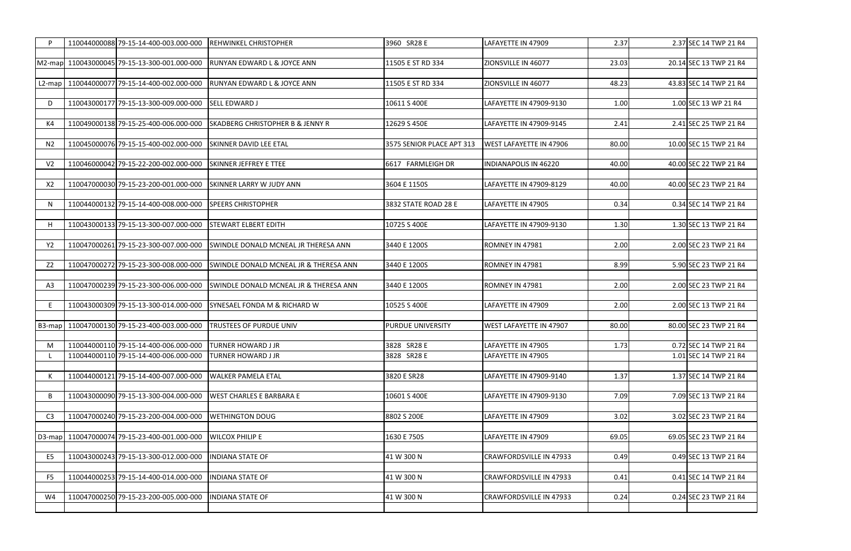| P              | 110044000088 79-15-14-400-003.000-000                                                             | <b>REHWINKEL CHRISTOPHER</b>                      | 3960 SR28 E                | LAFAYETTE IN 47909                       | 2.37  | 2.37 SEC 14 TWP 21 R4                          |
|----------------|---------------------------------------------------------------------------------------------------|---------------------------------------------------|----------------------------|------------------------------------------|-------|------------------------------------------------|
|                |                                                                                                   |                                                   |                            |                                          |       |                                                |
| M2-map         | 110043000045 79-15-13-300-001.000-000                                                             | <b>RUNYAN EDWARD L &amp; JOYCE ANN</b>            | 11505 E ST RD 334          | ZIONSVILLE IN 46077                      | 23.03 | 20.14 SEC 13 TWP 21 R4                         |
| $L2$ -map      | 110044000077 79-15-14-400-002.000-000                                                             | <b>RUNYAN EDWARD L &amp; JOYCE ANN</b>            | 11505 E ST RD 334          | ZIONSVILLE IN 46077                      | 48.23 | 43.83 SEC 14 TWP 21 R4                         |
|                |                                                                                                   |                                                   |                            |                                          |       |                                                |
| D              | 110043000177 79-15-13-300-009.000-000                                                             | <b>SELL EDWARD J</b>                              | 10611 S 400E               | LAFAYETTE IN 47909-9130                  | 1.00  | 1.00 SEC 13 WP 21 R4                           |
|                |                                                                                                   |                                                   |                            |                                          |       |                                                |
| K4             | 110049000138 79-15-25-400-006.000-000                                                             | <b>SKADBERG CHRISTOPHER B &amp; JENNY R</b>       | 12629 S 450E               | LAFAYETTE IN 47909-9145                  | 2.41  | 2.41 SEC 25 TWP 21 R4                          |
|                | 110045000076 79-15-15-400-002.000-000                                                             | <b>SKINNER DAVID LEE ETAL</b>                     | 3575 SENIOR PLACE APT 313  | <b>WEST LAFAYETTE IN 47906</b>           | 80.00 | 10.00 SEC 15 TWP 21 R4                         |
| N <sub>2</sub> |                                                                                                   |                                                   |                            |                                          |       |                                                |
| V <sub>2</sub> | 110046000042 79-15-22-200-002.000-000                                                             | <b>SKINNER JEFFREY E TTEE</b>                     | 6617 FARMLEIGH DR          | <b>INDIANAPOLIS IN 46220</b>             | 40.00 | 40.00 SEC 22 TWP 21 R4                         |
|                |                                                                                                   |                                                   |                            |                                          |       |                                                |
| X <sub>2</sub> | 110047000030 79-15-23-200-001.000-000                                                             | <b>SKINNER LARRY W JUDY ANN</b>                   | 3604 E 1150S               | LAFAYETTE IN 47909-8129                  | 40.00 | 40.00 SEC 23 TWP 21 R4                         |
|                |                                                                                                   |                                                   |                            |                                          |       |                                                |
| N              | 110044000132 79-15-14-400-008.000-000                                                             | <b>SPEERS CHRISTOPHER</b>                         | 3832 STATE ROAD 28 E       | LAFAYETTE IN 47905                       | 0.34  | 0.34 SEC 14 TWP 21 R4                          |
| н              | 110043000133 79-15-13-300-007.000-000                                                             | <b>STEWART ELBERT EDITH</b>                       | 10725 S 400E               | LAFAYETTE IN 47909-9130                  | 1.30  | 1.30 SEC 13 TWP 21 R4                          |
|                |                                                                                                   |                                                   |                            |                                          |       |                                                |
| Y <sub>2</sub> | 110047000261 79-15-23-300-007.000-000                                                             | SWINDLE DONALD MCNEAL JR THERESA ANN              | 3440 E 1200S               | ROMNEY IN 47981                          | 2.00  | 2.00 SEC 23 TWP 21 R4                          |
|                |                                                                                                   |                                                   |                            |                                          |       |                                                |
| Z <sub>2</sub> | 110047000272 79-15-23-300-008.000-000                                                             | <b>SWINDLE DONALD MCNEAL JR &amp; THERESA ANN</b> | 3440 E 1200S               | ROMNEY IN 47981                          | 8.99  | 5.90 SEC 23 TWP 21 R4                          |
| A3             | 110047000239 79-15-23-300-006.000-000                                                             | SWINDLE DONALD MCNEAL JR & THERESA ANN            | 3440 E 1200S               | ROMNEY IN 47981                          | 2.00  | 2.00 SEC 23 TWP 21 R4                          |
|                |                                                                                                   |                                                   |                            |                                          |       |                                                |
| E              | 110043000309 79-15-13-300-014.000-000                                                             | <b>SYNESAEL FONDA M &amp; RICHARD W</b>           | 10525 S 400E               | LAFAYETTE IN 47909                       | 2.00  | 2.00 SEC 13 TWP 21 R4                          |
|                |                                                                                                   |                                                   |                            |                                          |       |                                                |
|                | B3-map   110047000130 79-15-23-400-003.000-000                                                    | <b>TRUSTEES OF PURDUE UNIV</b>                    | PURDUE UNIVERSITY          | <b>WEST LAFAYETTE IN 47907</b>           | 80.00 | 80.00 SEC 23 TWP 21 R4                         |
|                |                                                                                                   |                                                   |                            |                                          |       |                                                |
| M              | 110044000110 79-15-14-400-006.000-000 TURNER HOWARD J JR<br>110044000110 79-15-14-400-006.000-000 | <b>TURNER HOWARD J JR</b>                         | 3828 SR28 E<br>3828 SR28 E | LAFAYETTE IN 47905<br>LAFAYETTE IN 47905 | 1.73  | 0.72 SEC 14 TWP 21 R4<br>1.01 SEC 14 TWP 21 R4 |
|                |                                                                                                   |                                                   |                            |                                          |       |                                                |
| К              | 110044000121 79-15-14-400-007.000-000                                                             | <b>WALKER PAMELA ETAL</b>                         | 3820 E SR28                | LAFAYETTE IN 47909-9140                  | 1.37  | 1.37 SEC 14 TWP 21 R4                          |
|                |                                                                                                   |                                                   |                            |                                          |       |                                                |
| B              | 110043000090 79-15-13-300-004.000-000                                                             | <b>WEST CHARLES E BARBARA E</b>                   | 10601 S 400E               | LAFAYETTE IN 47909-9130                  | 7.09  | 7.09 SEC 13 TWP 21 R4                          |
|                |                                                                                                   |                                                   |                            |                                          |       |                                                |
| C <sub>3</sub> | 110047000240 79-15-23-200-004.000-000                                                             | <b>WETHINGTON DOUG</b>                            | 8802 S 200E                | LAFAYETTE IN 47909                       | 3.02  | 3.02 SEC 23 TWP 21 R4                          |
|                | D3-map 110047000074 79-15-23-400-001.000-000                                                      | <b>WILCOX PHILIP E</b>                            | 1630 E 750S                | LAFAYETTE IN 47909                       | 69.05 | 69.05 SEC 23 TWP 21 R4                         |
|                |                                                                                                   |                                                   |                            |                                          |       |                                                |
| E <sub>5</sub> | 110043000243 79-15-13-300-012.000-000                                                             | <b>INDIANA STATE OF</b>                           | 41 W 300 N                 | CRAWFORDSVILLE IN 47933                  | 0.49  | 0.49 SEC 13 TWP 21 R4                          |
|                |                                                                                                   |                                                   |                            |                                          |       |                                                |
| F <sub>5</sub> | 110044000253 79-15-14-400-014.000-000                                                             | <b>INDIANA STATE OF</b>                           | 41 W 300 N                 | CRAWFORDSVILLE IN 47933                  | 0.41  | 0.41 SEC 14 TWP 21 R4                          |
|                |                                                                                                   |                                                   |                            |                                          |       |                                                |
| W4             | 110047000250 79-15-23-200-005.000-000                                                             | <b>INDIANA STATE OF</b>                           | 41 W 300 N                 | CRAWFORDSVILLE IN 47933                  | 0.24  | 0.24 SEC 23 TWP 21 R4                          |
|                |                                                                                                   |                                                   |                            |                                          |       |                                                |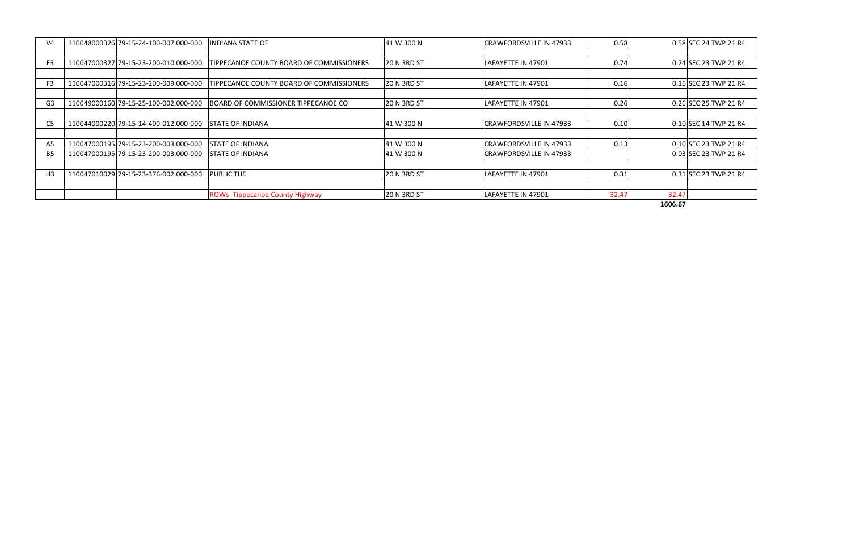| V <sub>4</sub> | 110048000326 79-15-24-100-007.000-000 | <b>INDIANA STATE OF</b>                    | 41 W 300 N         | CRAWFORDSVILLE IN 47933        | 0.58  |       | 0.58 SEC 24 TWP 21 R4 |
|----------------|---------------------------------------|--------------------------------------------|--------------------|--------------------------------|-------|-------|-----------------------|
|                |                                       |                                            |                    |                                |       |       |                       |
| E <sub>3</sub> | 110047000327 79-15-23-200-010.000-000 | TIPPECANOE COUNTY BOARD OF COMMISSIONERS   | <b>20 N 3RD ST</b> | LAFAYETTE IN 47901             | 0.74  |       | 0.74 SEC 23 TWP 21 R4 |
|                |                                       |                                            |                    |                                |       |       |                       |
| F <sub>3</sub> | 110047000316 79-15-23-200-009.000-000 | TIPPECANOE COUNTY BOARD OF COMMISSIONERS   | 120 N 3RD ST       | ILAFAYETTE IN 47901            | 0.16  |       | 0.16 SEC 23 TWP 21 R4 |
|                |                                       |                                            |                    |                                |       |       |                       |
| G <sub>3</sub> | 110049000160 79-15-25-100-002.000-000 | <b>BOARD OF COMMISSIONER TIPPECANOE CO</b> | <b>20 N 3RD ST</b> | LAFAYETTE IN 47901             | 0.26  |       | 0.26 SEC 25 TWP 21 R4 |
|                |                                       |                                            |                    |                                |       |       |                       |
| C5             | 110044000220 79-15-14-400-012.000-000 | <b>STATE OF INDIANA</b>                    | 41 W 300 N         | <b>CRAWFORDSVILLE IN 47933</b> | 0.10  |       | 0.10 SEC 14 TWP 21 R4 |
|                |                                       |                                            |                    |                                |       |       |                       |
| A <sub>5</sub> | 110047000195 79-15-23-200-003.000-000 | <b>ISTATE OF INDIANA</b>                   | 41 W 300 N         | CRAWFORDSVILLE IN 47933        | 0.13  |       | 0.10 SEC 23 TWP 21 R4 |
| B <sub>5</sub> | 110047000195 79-15-23-200-003.000-000 | <b>STATE OF INDIANA</b>                    | 41 W 300 N         | <b>CRAWFORDSVILLE IN 47933</b> |       |       | 0.03 SEC 23 TWP 21 R4 |
|                |                                       |                                            |                    |                                |       |       |                       |
| H <sub>3</sub> | 110047010029 79-15-23-376-002.000-000 | <b>PUBLIC THE</b>                          | <b>20 N 3RD ST</b> | LAFAYETTE IN 47901             | 0.31  |       | 0.31 SEC 23 TWP 21 R4 |
|                |                                       |                                            |                    |                                |       |       |                       |
|                |                                       | <b>ROWs-Tippecanoe County Highway</b>      | <b>20 N 3RD ST</b> | LAFAYETTE IN 47901             | 32.47 | 32.47 |                       |

**1606.67**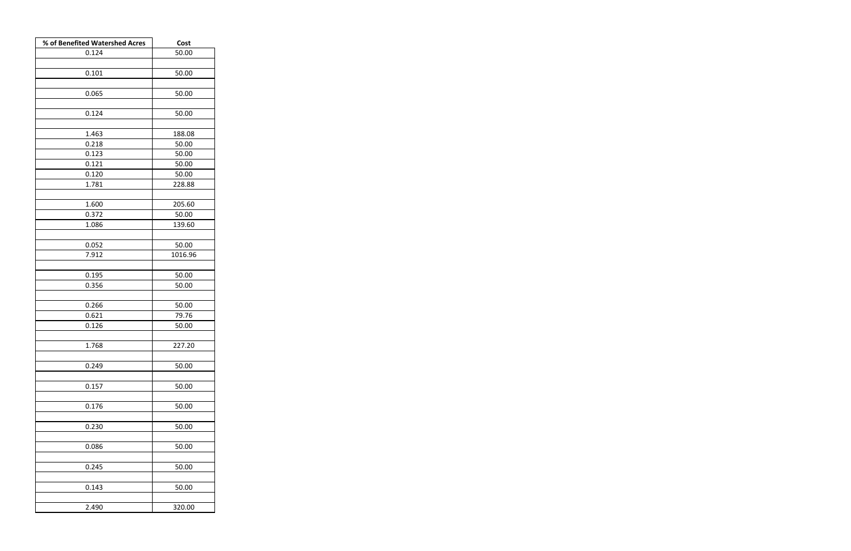| % of Benefited Watershed Acres | Cost    |
|--------------------------------|---------|
| 0.124                          | 50.00   |
|                                |         |
| 0.101                          | 50.00   |
|                                |         |
| 0.065                          | 50.00   |
|                                |         |
| 0.124                          | 50.00   |
|                                |         |
| 1.463                          | 188.08  |
| 0.218                          | 50.00   |
| 0.123                          | 50.00   |
| 0.121                          | 50.00   |
| 0.120                          | 50.00   |
| 1.781                          | 228.88  |
|                                |         |
| 1.600                          | 205.60  |
| 0.372                          | 50.00   |
| 1.086                          | 139.60  |
| 0.052                          | 50.00   |
| 7.912                          | 1016.96 |
|                                |         |
| 0.195                          | 50.00   |
| 0.356                          | 50.00   |
|                                |         |
| 0.266                          | 50.00   |
| 0.621                          | 79.76   |
| 0.126                          | 50.00   |
|                                |         |
| 1.768                          | 227.20  |
|                                |         |
| 0.249                          | 50.00   |
|                                |         |
| 0.157                          | 50.00   |
|                                |         |
| 0.176                          | 50.00   |
|                                |         |
| 0.230                          | 50.00   |
|                                |         |
| 0.086                          | 50.00   |
|                                |         |
| 0.245                          | 50.00   |
|                                |         |
| 0.143                          | 50.00   |
|                                |         |
| 2.490                          | 320.00  |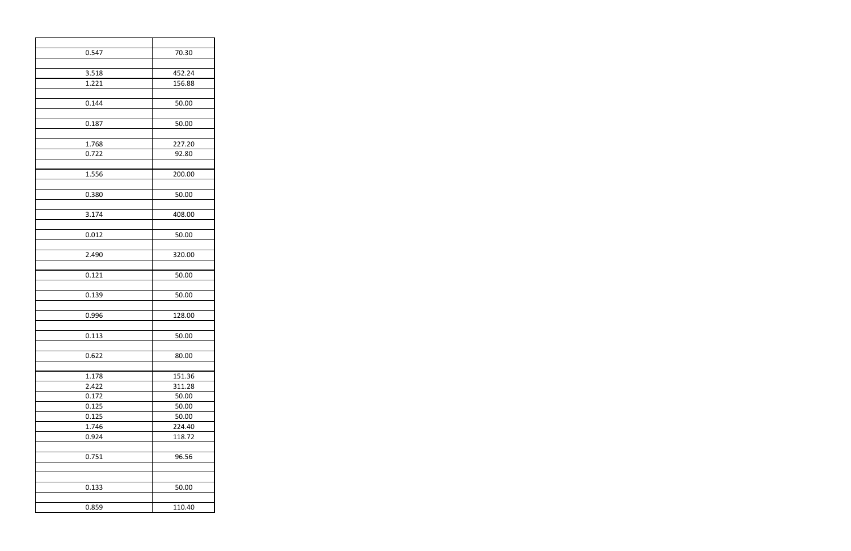| 0.547 | 70.30  |
|-------|--------|
|       |        |
| 3.518 | 452.24 |
| 1.221 | 156.88 |
|       |        |
| 0.144 | 50.00  |
|       |        |
| 0.187 | 50.00  |
|       |        |
| 1.768 | 227.20 |
| 0.722 | 92.80  |
|       |        |
| 1.556 | 200.00 |
|       |        |
| 0.380 | 50.00  |
|       |        |
| 3.174 | 408.00 |
|       |        |
|       |        |
| 0.012 | 50.00  |
|       |        |
| 2.490 | 320.00 |
|       |        |
| 0.121 | 50.00  |
|       |        |
| 0.139 | 50.00  |
|       |        |
| 0.996 | 128.00 |
|       |        |
| 0.113 | 50.00  |
|       |        |
| 0.622 | 80.00  |
|       |        |
| 1.178 | 151.36 |
| 2.422 | 311.28 |
| 0.172 | 50.00  |
| 0.125 | 50.00  |
| 0.125 | 50.00  |
| 1.746 | 224.40 |
| 0.924 | 118.72 |
|       |        |
| 0.751 | 96.56  |
|       |        |
|       |        |
|       |        |
| 0.133 | 50.00  |
|       |        |
| 0.859 | 110.40 |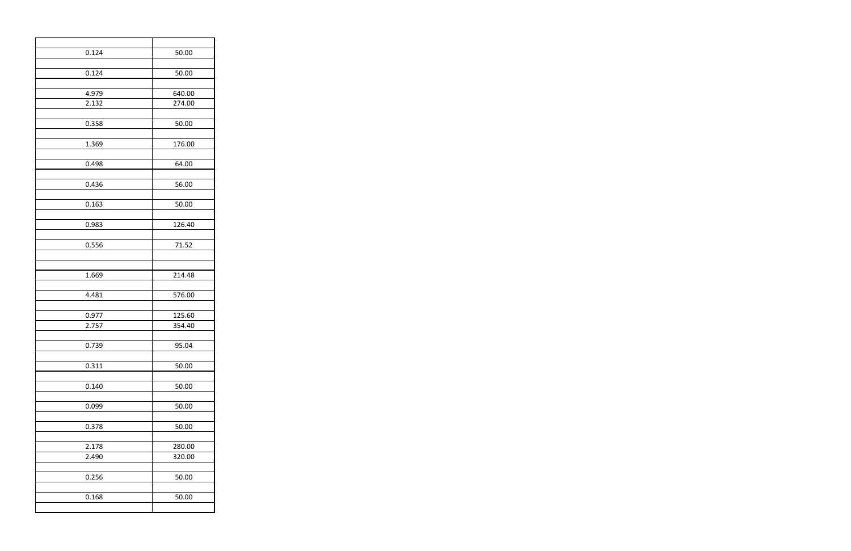| 0.124 | 50.00  |
|-------|--------|
| 0.124 | 50.00  |
| 4.979 | 640.00 |
| 2.132 | 274.00 |
| 0.358 | 50.00  |
| 1.369 | 176.00 |
| 0.498 | 64.00  |
| 0.436 | 56.00  |
| 0.163 | 50.00  |
| 0.983 | 126.40 |
| 0.556 | 71.52  |
|       |        |
| 1.669 | 214.48 |
| 4.481 | 576.00 |
| 0.977 | 125.60 |
| 2.757 | 354.40 |
| 0.739 | 95.04  |
| 0.311 | 50.00  |
| 0.140 | 50.00  |
| 0.099 | 50.00  |
| 0.378 | 50.00  |
| 2.178 | 280.00 |
| 2.490 | 320.00 |
| 0.256 | 50.00  |
| 0.168 | 50.00  |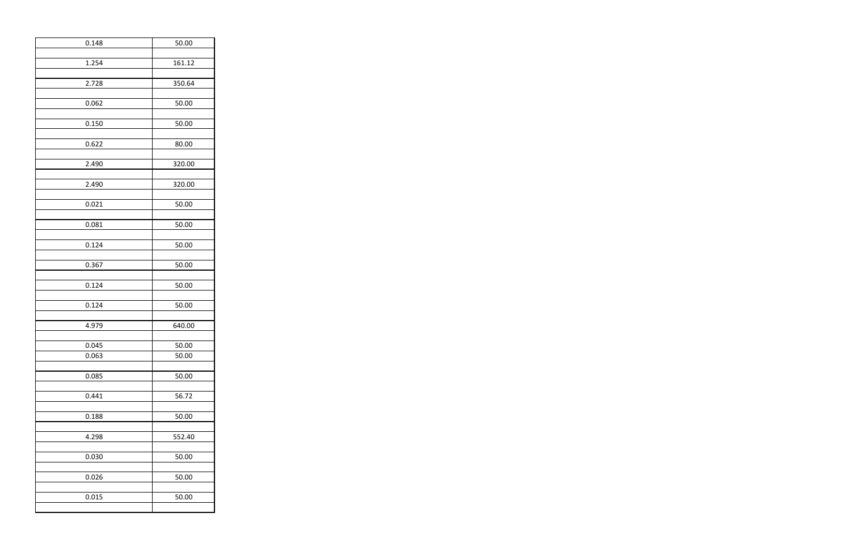| 0.148          | 50.00          |
|----------------|----------------|
| 1.254          | 161.12         |
| 2.728          | 350.64         |
|                |                |
| 0.062          | 50.00          |
| 0.150          | 50.00          |
| 0.622          | 80.00          |
| 2.490          | 320.00         |
|                |                |
| 2.490          | 320.00         |
| 0.021          | 50.00          |
| 0.081          | 50.00          |
| 0.124          | 50.00          |
|                |                |
| 0.367          | 50.00          |
| 0.124          | 50.00          |
| 0.124          | 50.00          |
| 4.979          | 640.00         |
|                |                |
| 0.045<br>0.063 | 50.00<br>50.00 |
|                |                |
| 0.085          | 50.00          |
| 0.441          | 56.72          |
| 0.188          | 50.00          |
|                |                |
| 4.298          | 552.40         |
| 0.030          | 50.00          |
| 0.026          | 50.00          |
| 0.015          | 50.00          |
|                |                |